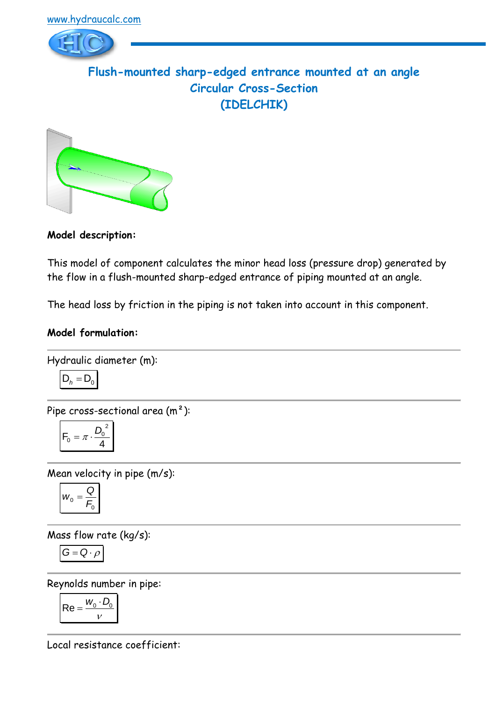

**Flush-mounted sharp-edged entrance mounted at an angle Circular Cross-Section (IDELCHIK)**



**Model description:**

This model of component calculates the minor head loss (pressure drop) generated by the flow in a flush-mounted sharp-edged entrance of piping mounted at an angle.

The head loss by friction in the piping is not taken into account in this component.

### **Model formulation:**

Hydraulic diameter (m):

$$
D_h = D_0
$$

Pipe cross-sectional area (m²):

$$
F_0 = \pi \cdot \frac{D_0^2}{4}
$$

Mean velocity in pipe (m/s):

$$
w_0 = \frac{Q}{F_0}
$$

Mass flow rate (kg/s):

$$
G=Q\cdot \rho
$$

Reynolds number in pipe:

$$
\mathsf{Re} = \frac{w_0 \cdot D_0}{v}
$$

Local resistance coefficient: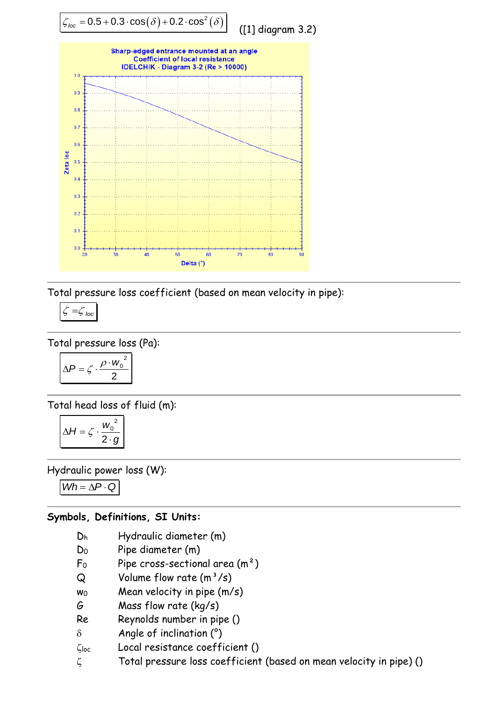

Total pressure loss coefficient (based on mean velocity in pipe):

$$
\zeta = \zeta_{loc}
$$

Total pressure loss (Pa):

$$
\Delta P = \zeta \cdot \frac{\rho \cdot w_0^2}{2}
$$

Total head loss of fluid (m):

$$
\Delta H = \zeta \cdot \frac{w_0^2}{2 \cdot g}
$$

Hydraulic power loss (W):

 $Wh = \Delta P \cdot Q$ 

# **Symbols, Definitions, SI Units:**

- D<sup>h</sup> Hydraulic diameter (m)
- D<sup>0</sup> Pipe diameter (m)
- $F_0$  Pipe cross-sectional area  $(m^2)$
- $Q$  Volume flow rate  $(m^3/s)$
- $wo$  Mean velocity in pipe  $(m/s)$
- G Mass flow rate (kg/s)
- Re Reynolds number in pipe ()
- $\delta$  Angle of inclination ( $\degree$ )
- loc Local resistance coefficient ()
- $\zeta$  Total pressure loss coefficient (based on mean velocity in pipe) ()